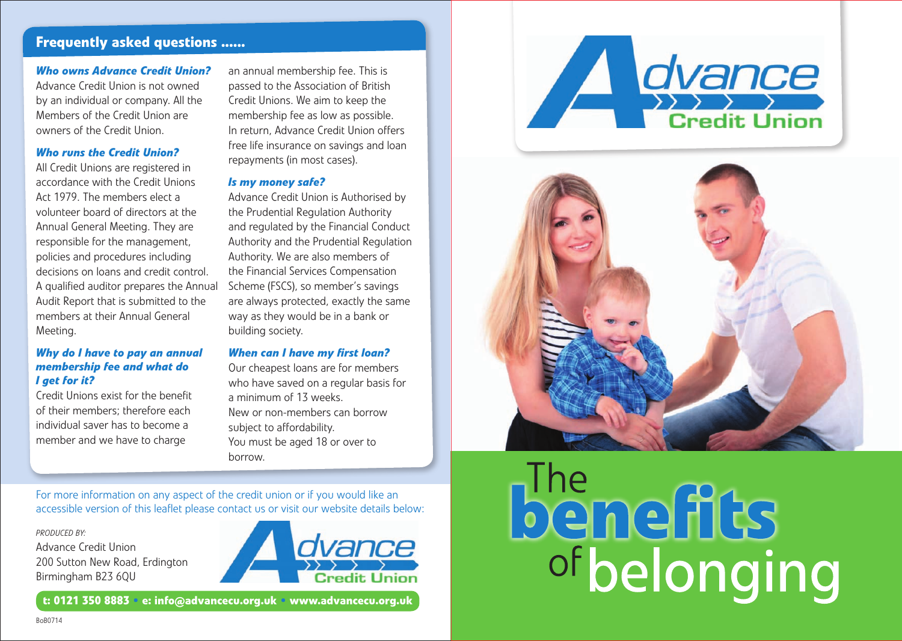# **Frequently asked questions ......**

### *Who owns Advance Credit Union?*

Advance Credit Union is not owned by an individual or company. All the Members of the Credit Union are owners of the Credit Union.

### *Who runs the Credit Union?*

All Credit Unions are registered in accordance with the Credit Unions Act 1979. The members elect a volunteer board of directors at the Annual General Meeting. They are responsible for the management, policies and procedures including decisions on loans and credit control. A qualified auditor prepares the Annual Audit Report that is submitted to the members at their Annual General Meeting.

### *Why do I have to pay an annual membership fee and what do I get for it?*

Credit Unions exist for the benefit of their members; therefore each individual saver has to become a member and we have to charge

an annual membership fee. This is passed to the Association of British Credit Unions. We aim to keep the membership fee as low as possible. In return, Advance Credit Union offers free life insurance on savings and loan repayments (in most cases).

### *Is my money safe?*

Advance Credit Union is Authorised by the Prudential Regulation Authority and regulated by the Financial Conduct Authority and the Prudential Regulation Authority. We are also members of the Financial Services Compensation Scheme (FSCS), so member's savings are always protected, exactly the same way as they would be in a bank or building society.

#### *When can I have my first loan?*

Our cheapest loans are for members who have saved on a regular basis for a minimum of 13 weeks. New or non-members can borrow subject to affordability. You must be aged 18 or over to borrow.

dvance A **Credit Union** 



### For more information on any aspect of the credit union or if you would like an accessible version of this leaflet please contact us or visit our website details below:

#### *Produced by:*

Advance Credit Union 200 Sutton New Road, Erdington Birmingham B23 6QU



**The<br>Demerits** ofbelonging